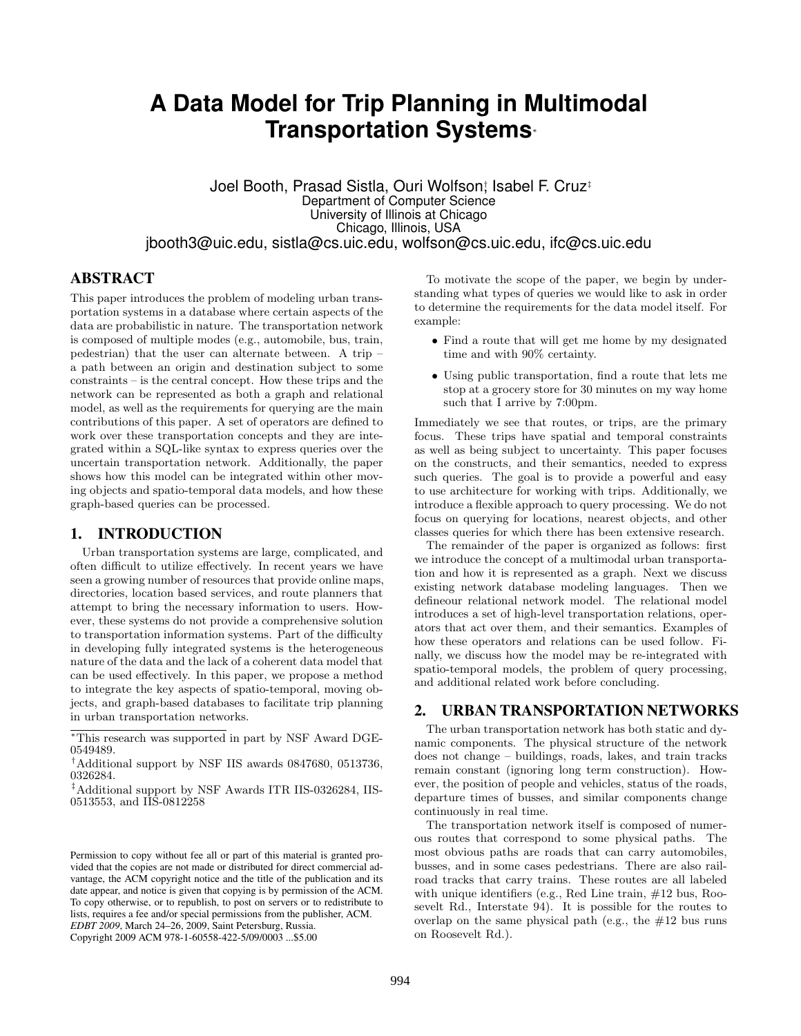# **A Data Model for Trip Planning in Multimodal Transportation Systems**<sup>∗</sup>

Joel Booth, Prasad Sistla, Ouri Wolfson† , Isabel F. Cruz‡ Department of Computer Science University of Illinois at Chicago Chicago, Illinois, USA jbooth3@uic.edu, sistla@cs.uic.edu, wolfson@cs.uic.edu, ifc@cs.uic.edu

# ABSTRACT

This paper introduces the problem of modeling urban transportation systems in a database where certain aspects of the data are probabilistic in nature. The transportation network is composed of multiple modes (e.g., automobile, bus, train, pedestrian) that the user can alternate between. A trip – a path between an origin and destination subject to some constraints – is the central concept. How these trips and the network can be represented as both a graph and relational model, as well as the requirements for querying are the main contributions of this paper. A set of operators are defined to work over these transportation concepts and they are integrated within a SQL-like syntax to express queries over the uncertain transportation network. Additionally, the paper shows how this model can be integrated within other moving objects and spatio-temporal data models, and how these graph-based queries can be processed.

## 1. INTRODUCTION

Urban transportation systems are large, complicated, and often difficult to utilize effectively. In recent years we have seen a growing number of resources that provide online maps, directories, location based services, and route planners that attempt to bring the necessary information to users. However, these systems do not provide a comprehensive solution to transportation information systems. Part of the difficulty in developing fully integrated systems is the heterogeneous nature of the data and the lack of a coherent data model that can be used effectively. In this paper, we propose a method to integrate the key aspects of spatio-temporal, moving objects, and graph-based databases to facilitate trip planning in urban transportation networks.

Copyright 2009 ACM 978-1-60558-422-5/09/0003 ...\$5.00

To motivate the scope of the paper, we begin by understanding what types of queries we would like to ask in order to determine the requirements for the data model itself. For example:

- Find a route that will get me home by my designated time and with 90% certainty.
- Using public transportation, find a route that lets me stop at a grocery store for 30 minutes on my way home such that I arrive by 7:00pm.

Immediately we see that routes, or trips, are the primary focus. These trips have spatial and temporal constraints as well as being subject to uncertainty. This paper focuses on the constructs, and their semantics, needed to express such queries. The goal is to provide a powerful and easy to use architecture for working with trips. Additionally, we introduce a flexible approach to query processing. We do not focus on querying for locations, nearest objects, and other classes queries for which there has been extensive research.

The remainder of the paper is organized as follows: first we introduce the concept of a multimodal urban transportation and how it is represented as a graph. Next we discuss existing network database modeling languages. Then we defineour relational network model. The relational model introduces a set of high-level transportation relations, operators that act over them, and their semantics. Examples of how these operators and relations can be used follow. Finally, we discuss how the model may be re-integrated with spatio-temporal models, the problem of query processing, and additional related work before concluding.

# 2. URBAN TRANSPORTATION NETWORKS

The urban transportation network has both static and dynamic components. The physical structure of the network does not change – buildings, roads, lakes, and train tracks remain constant (ignoring long term construction). However, the position of people and vehicles, status of the roads, departure times of busses, and similar components change continuously in real time.

The transportation network itself is composed of numerous routes that correspond to some physical paths. The most obvious paths are roads that can carry automobiles, busses, and in some cases pedestrians. There are also railroad tracks that carry trains. These routes are all labeled with unique identifiers (e.g., Red Line train,  $\#12$  bus, Roosevelt Rd., Interstate 94). It is possible for the routes to overlap on the same physical path (e.g., the #12 bus runs on Roosevelt Rd.).

<sup>∗</sup>This research was supported in part by NSF Award DGE-0549489.

<sup>†</sup>Additional support by NSF IIS awards 0847680, 0513736, 0326284.

<sup>‡</sup>Additional support by NSF Awards ITR IIS-0326284, IIS-0513553, and IIS-0812258

Permission to copy without fee all or part of this material is granted provided that the copies are not made or distributed for direct commercial advantage, the ACM copyright notice and the title of the publication and its date appear, and notice is given that copying is by permission of the ACM. To copy otherwise, or to republish, to post on servers or to redistribute to lists, requires a fee and/or special permissions from the publisher, ACM. *EDBT 2009*, March 24–26, 2009, Saint Petersburg, Russia.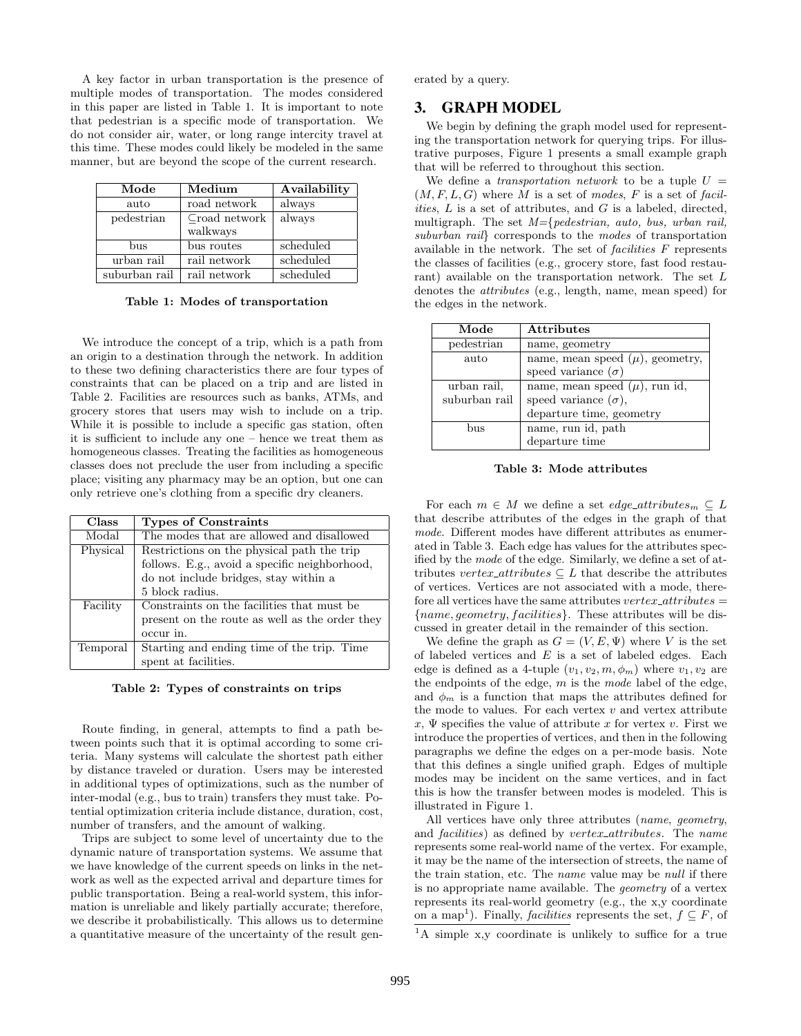A key factor in urban transportation is the presence of multiple modes of transportation. The modes considered in this paper are listed in Table 1. It is important to note that pedestrian is a specific mode of transportation. We do not consider air, water, or long range intercity travel at this time. These modes could likely be modeled in the same manner, but are beyond the scope of the current research.

| Mode          | Medium        | Availability |
|---------------|---------------|--------------|
| auto          | road network  | always       |
| pedestrian    | Croad network | always       |
|               | walkways      |              |
| bus           | bus routes    | scheduled    |
| urban rail    | rail network  | scheduled    |
| suburban rail | rail network  | scheduled    |

Table 1: Modes of transportation

We introduce the concept of a trip, which is a path from an origin to a destination through the network. In addition to these two defining characteristics there are four types of constraints that can be placed on a trip and are listed in Table 2. Facilities are resources such as banks, ATMs, and grocery stores that users may wish to include on a trip. While it is possible to include a specific gas station, often it is sufficient to include any one – hence we treat them as homogeneous classes. Treating the facilities as homogeneous classes does not preclude the user from including a specific place; visiting any pharmacy may be an option, but one can only retrieve one's clothing from a specific dry cleaners.

| Class    | <b>Types of Constraints</b>                    |
|----------|------------------------------------------------|
| Modal    | The modes that are allowed and disallowed      |
| Physical | Restrictions on the physical path the trip     |
|          | follows. E.g., avoid a specific neighborhood,  |
|          | do not include bridges, stay within a          |
|          | 5 block radius.                                |
| Facility | Constraints on the facilities that must be     |
|          | present on the route as well as the order they |
|          | occur in.                                      |
| Temporal | Starting and ending time of the trip. Time     |
|          | spent at facilities.                           |

Table 2: Types of constraints on trips

Route finding, in general, attempts to find a path between points such that it is optimal according to some criteria. Many systems will calculate the shortest path either by distance traveled or duration. Users may be interested in additional types of optimizations, such as the number of inter-modal (e.g., bus to train) transfers they must take. Potential optimization criteria include distance, duration, cost, number of transfers, and the amount of walking.

Trips are subject to some level of uncertainty due to the dynamic nature of transportation systems. We assume that we have knowledge of the current speeds on links in the network as well as the expected arrival and departure times for public transportation. Being a real-world system, this information is unreliable and likely partially accurate; therefore, we describe it probabilistically. This allows us to determine a quantitative measure of the uncertainty of the result generated by a query.

## 3. GRAPH MODEL

We begin by defining the graph model used for representing the transportation network for querying trips. For illustrative purposes, Figure 1 presents a small example graph that will be referred to throughout this section.

We define a transportation network to be a tuple  $U =$  $(M, F, L, G)$  where M is a set of modes, F is a set of facilities,  $L$  is a set of attributes, and  $G$  is a labeled, directed, multigraph. The set  $M=\{pedestrian, auto, bus, urban rail,$ suburban rail} corresponds to the modes of transportation available in the network. The set of facilities F represents the classes of facilities (e.g., grocery store, fast food restaurant) available on the transportation network. The set L denotes the attributes (e.g., length, name, mean speed) for the edges in the network.

| Mode          | <b>Attributes</b>                    |
|---------------|--------------------------------------|
| pedestrian    | name, geometry                       |
| auto          | name, mean speed $(\mu)$ , geometry, |
|               | speed variance $(\sigma)$            |
| urban rail,   | name, mean speed $(\mu)$ , run id,   |
| suburban rail | speed variance $(\sigma)$ ,          |
|               | departure time, geometry             |
| hus           | name, run id, path                   |
|               | departure time                       |

Table 3: Mode attributes

For each  $m \in M$  we define a set edge\_attributes $_m \subseteq L$ that describe attributes of the edges in the graph of that mode. Different modes have different attributes as enumerated in Table 3. Each edge has values for the attributes specified by the mode of the edge. Similarly, we define a set of attributes vertex\_attributes  $\subseteq L$  that describe the attributes of vertices. Vertices are not associated with a mode, therefore all vertices have the same attributes  $vertex\_attributes =$  ${name, geometry, facilities}.$  These attributes will be discussed in greater detail in the remainder of this section.

We define the graph as  $G = (V, E, \Psi)$  where V is the set of labeled vertices and  $E$  is a set of labeled edges. Each edge is defined as a 4-tuple  $(v_1, v_2, m, \phi_m)$  where  $v_1, v_2$  are the endpoints of the edge,  $m$  is the mode label of the edge, and  $\phi_m$  is a function that maps the attributes defined for the mode to values. For each vertex  $v$  and vertex attribute  $x, \Psi$  specifies the value of attribute x for vertex v. First we introduce the properties of vertices, and then in the following paragraphs we define the edges on a per-mode basis. Note that this defines a single unified graph. Edges of multiple modes may be incident on the same vertices, and in fact this is how the transfer between modes is modeled. This is illustrated in Figure 1.

All vertices have only three attributes (name, geometry, and *facilities*) as defined by vertex\_attributes. The name represents some real-world name of the vertex. For example, it may be the name of the intersection of streets, the name of the train station, etc. The name value may be null if there is no appropriate name available. The geometry of a vertex represents its real-world geometry (e.g., the x,y coordinate on a map<sup>1</sup>). Finally, *facilities* represents the set,  $f \subseteq F$ , of

<sup>1</sup>A simple x,y coordinate is unlikely to suffice for a true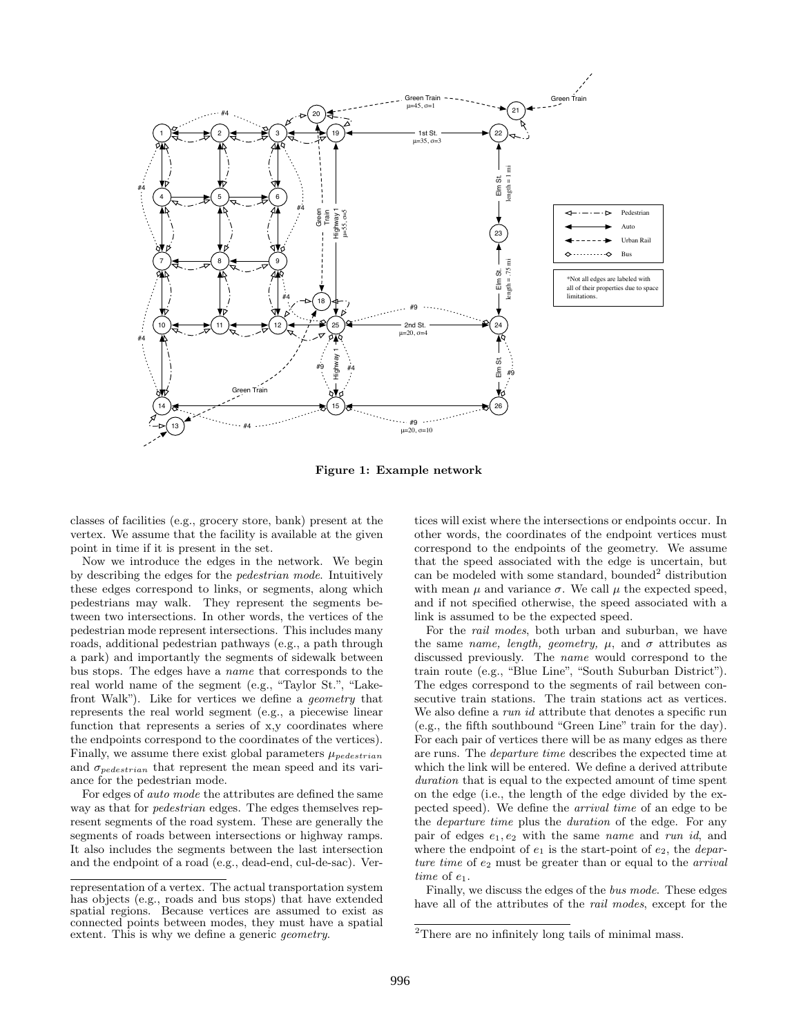

Figure 1: Example network

classes of facilities (e.g., grocery store, bank) present at the vertex. We assume that the facility is available at the given point in time if it is present in the set.

Now we introduce the edges in the network. We begin by describing the edges for the pedestrian mode. Intuitively these edges correspond to links, or segments, along which pedestrians may walk. They represent the segments between two intersections. In other words, the vertices of the pedestrian mode represent intersections. This includes many roads, additional pedestrian pathways (e.g., a path through a park) and importantly the segments of sidewalk between bus stops. The edges have a name that corresponds to the real world name of the segment (e.g., "Taylor St.", "Lakefront Walk"). Like for vertices we define a geometry that represents the real world segment (e.g., a piecewise linear function that represents a series of x,y coordinates where the endpoints correspond to the coordinates of the vertices). Finally, we assume there exist global parameters  $\mu_{pedestrian}$ and  $\sigma_{pedestrian}$  that represent the mean speed and its variance for the pedestrian mode.

For edges of auto mode the attributes are defined the same way as that for *pedestrian* edges. The edges themselves represent segments of the road system. These are generally the segments of roads between intersections or highway ramps. It also includes the segments between the last intersection and the endpoint of a road (e.g., dead-end, cul-de-sac). Vertices will exist where the intersections or endpoints occur. In other words, the coordinates of the endpoint vertices must correspond to the endpoints of the geometry. We assume that the speed associated with the edge is uncertain, but can be modeled with some standard, bounded<sup>2</sup> distribution with mean  $\mu$  and variance  $\sigma$ . We call  $\mu$  the expected speed, and if not specified otherwise, the speed associated with a link is assumed to be the expected speed.

For the rail modes, both urban and suburban, we have the same name, length, geometry,  $\mu$ , and  $\sigma$  attributes as discussed previously. The name would correspond to the train route (e.g., "Blue Line", "South Suburban District"). The edges correspond to the segments of rail between consecutive train stations. The train stations act as vertices. We also define a *run id* attribute that denotes a specific run (e.g., the fifth southbound "Green Line" train for the day). For each pair of vertices there will be as many edges as there are runs. The departure time describes the expected time at which the link will be entered. We define a derived attribute duration that is equal to the expected amount of time spent on the edge (i.e., the length of the edge divided by the expected speed). We define the arrival time of an edge to be the departure time plus the duration of the edge. For any pair of edges  $e_1, e_2$  with the same name and run id, and where the endpoint of  $e_1$  is the start-point of  $e_2$ , the *depar*ture time of  $e_2$  must be greater than or equal to the *arrival* time of  $e_1$ .

Finally, we discuss the edges of the bus mode. These edges have all of the attributes of the *rail modes*, except for the

representation of a vertex. The actual transportation system has objects (e.g., roads and bus stops) that have extended spatial regions. Because vertices are assumed to exist as connected points between modes, they must have a spatial extent. This is why we define a generic *geometry*.

<sup>2</sup>There are no infinitely long tails of minimal mass.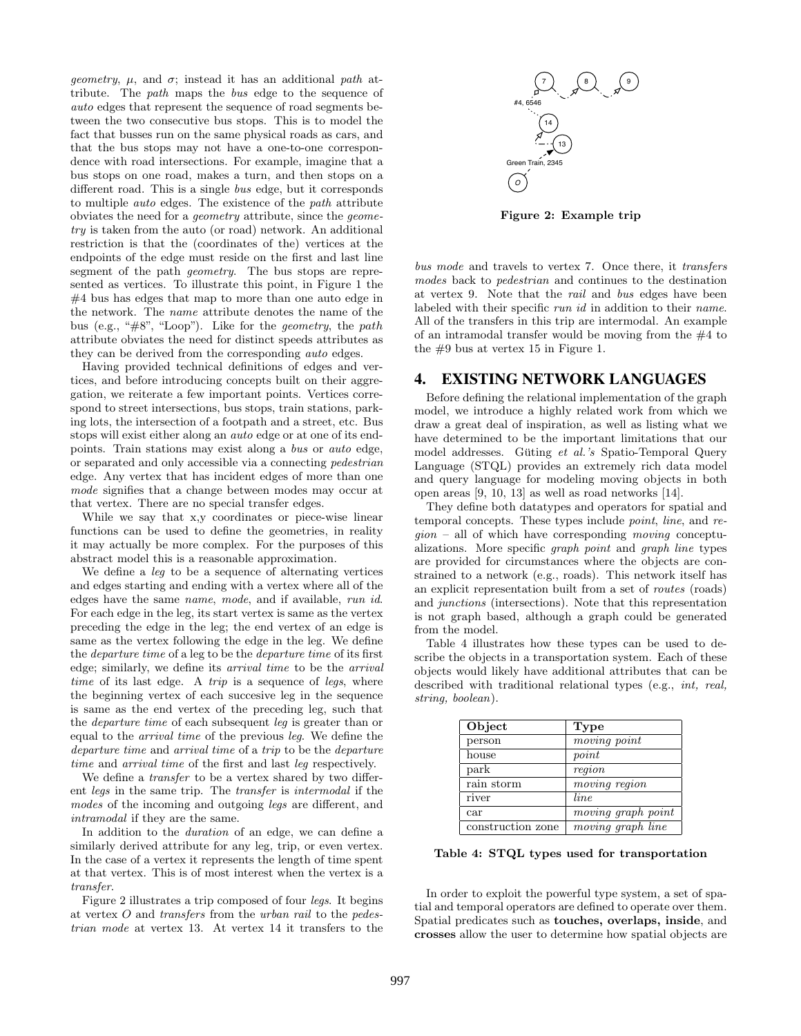geometry,  $\mu$ , and  $\sigma$ ; instead it has an additional path attribute. The path maps the bus edge to the sequence of auto edges that represent the sequence of road segments between the two consecutive bus stops. This is to model the fact that busses run on the same physical roads as cars, and that the bus stops may not have a one-to-one correspondence with road intersections. For example, imagine that a bus stops on one road, makes a turn, and then stops on a different road. This is a single *bus* edge, but it corresponds to multiple auto edges. The existence of the path attribute obviates the need for a geometry attribute, since the geometry is taken from the auto (or road) network. An additional restriction is that the (coordinates of the) vertices at the endpoints of the edge must reside on the first and last line segment of the path geometry. The bus stops are represented as vertices. To illustrate this point, in Figure 1 the #4 bus has edges that map to more than one auto edge in the network. The name attribute denotes the name of the bus (e.g., " $\#8$ ", "Loop"). Like for the *geometry*, the path attribute obviates the need for distinct speeds attributes as they can be derived from the corresponding auto edges.

Having provided technical definitions of edges and vertices, and before introducing concepts built on their aggregation, we reiterate a few important points. Vertices correspond to street intersections, bus stops, train stations, parking lots, the intersection of a footpath and a street, etc. Bus stops will exist either along an auto edge or at one of its endpoints. Train stations may exist along a bus or auto edge, or separated and only accessible via a connecting pedestrian edge. Any vertex that has incident edges of more than one mode signifies that a change between modes may occur at that vertex. There are no special transfer edges.

While we say that x,y coordinates or piece-wise linear functions can be used to define the geometries, in reality it may actually be more complex. For the purposes of this abstract model this is a reasonable approximation.

We define a *leg* to be a sequence of alternating vertices and edges starting and ending with a vertex where all of the edges have the same name, mode, and if available, run id. For each edge in the leg, its start vertex is same as the vertex preceding the edge in the leg; the end vertex of an edge is same as the vertex following the edge in the leg. We define the departure time of a leg to be the departure time of its first edge; similarly, we define its arrival time to be the arrival time of its last edge. A trip is a sequence of legs, where the beginning vertex of each succesive leg in the sequence is same as the end vertex of the preceding leg, such that the departure time of each subsequent leg is greater than or equal to the arrival time of the previous leg. We define the departure time and arrival time of a trip to be the departure time and arrival time of the first and last leg respectively.

We define a *transfer* to be a vertex shared by two different legs in the same trip. The transfer is intermodal if the modes of the incoming and outgoing *legs* are different, and intramodal if they are the same.

In addition to the duration of an edge, we can define a similarly derived attribute for any leg, trip, or even vertex. In the case of a vertex it represents the length of time spent at that vertex. This is of most interest when the vertex is a transfer.

Figure 2 illustrates a trip composed of four legs. It begins at vertex O and transfers from the urban rail to the pedestrian mode at vertex 13. At vertex 14 it transfers to the



Figure 2: Example trip

bus mode and travels to vertex 7. Once there, it transfers modes back to pedestrian and continues to the destination at vertex 9. Note that the rail and bus edges have been labeled with their specific *run id* in addition to their *name*. All of the transfers in this trip are intermodal. An example of an intramodal transfer would be moving from the #4 to the #9 bus at vertex 15 in Figure 1.

#### 4. EXISTING NETWORK LANGUAGES

Before defining the relational implementation of the graph model, we introduce a highly related work from which we draw a great deal of inspiration, as well as listing what we have determined to be the important limitations that our model addresses. Güting  $et$  al.'s Spatio-Temporal Query Language (STQL) provides an extremely rich data model and query language for modeling moving objects in both open areas [9, 10, 13] as well as road networks [14].

They define both datatypes and operators for spatial and temporal concepts. These types include point, line, and re $gion$  – all of which have corresponding moving conceptualizations. More specific graph point and graph line types are provided for circumstances where the objects are constrained to a network (e.g., roads). This network itself has an explicit representation built from a set of routes (roads) and junctions (intersections). Note that this representation is not graph based, although a graph could be generated from the model.

Table 4 illustrates how these types can be used to describe the objects in a transportation system. Each of these objects would likely have additional attributes that can be described with traditional relational types (e.g., int, real, string, boolean).

| Object            | Type                           |
|-------------------|--------------------------------|
|                   |                                |
| person            | moving point                   |
| house             | point                          |
| $_{\rm park}$     | region                         |
| rain storm        | moving region                  |
| river             | line                           |
| car               | moving graph point             |
| construction zone | $\overline{moving}$ graph line |

Table 4: STQL types used for transportation

In order to exploit the powerful type system, a set of spatial and temporal operators are defined to operate over them. Spatial predicates such as touches, overlaps, inside, and crosses allow the user to determine how spatial objects are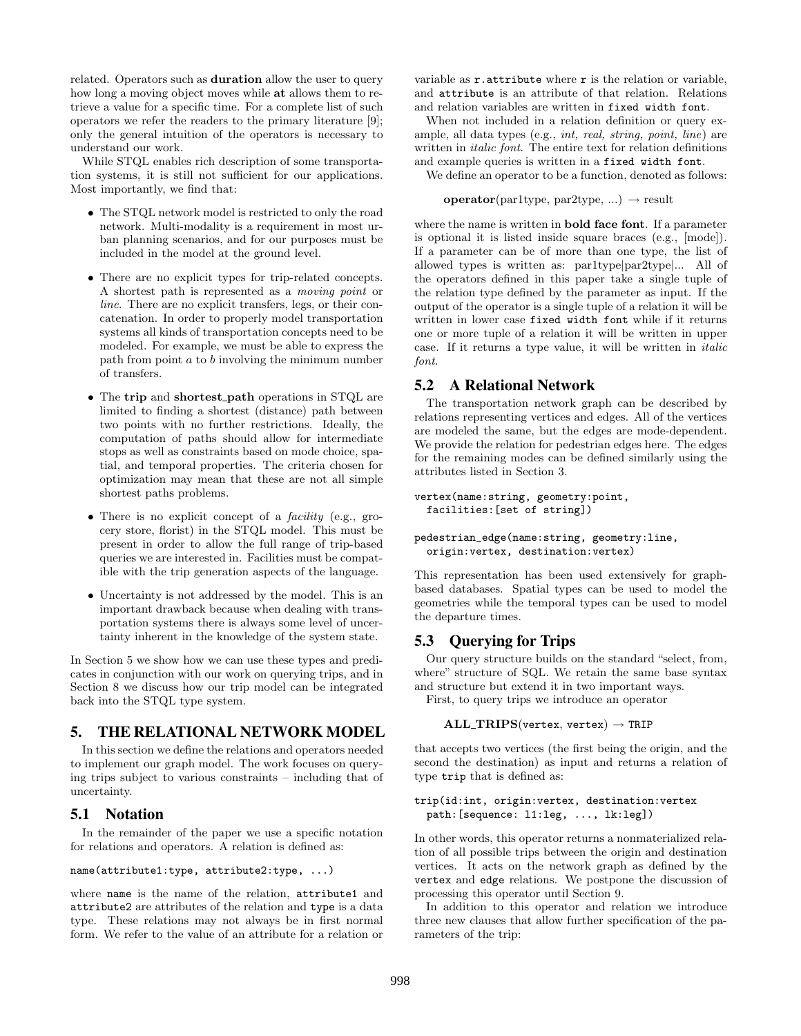related. Operators such as duration allow the user to query how long a moving object moves while at allows them to retrieve a value for a specific time. For a complete list of such operators we refer the readers to the primary literature [9]; only the general intuition of the operators is necessary to understand our work.

While STQL enables rich description of some transportation systems, it is still not sufficient for our applications. Most importantly, we find that:

- The STQL network model is restricted to only the road network. Multi-modality is a requirement in most urban planning scenarios, and for our purposes must be included in the model at the ground level.
- There are no explicit types for trip-related concepts. A shortest path is represented as a moving point or line. There are no explicit transfers, legs, or their concatenation. In order to properly model transportation systems all kinds of transportation concepts need to be modeled. For example, we must be able to express the path from point  $a$  to  $b$  involving the minimum number of transfers.
- The trip and shortest\_path operations in STQL are limited to finding a shortest (distance) path between two points with no further restrictions. Ideally, the computation of paths should allow for intermediate stops as well as constraints based on mode choice, spatial, and temporal properties. The criteria chosen for optimization may mean that these are not all simple shortest paths problems.
- There is no explicit concept of a *facility* (e.g., grocery store, florist) in the STQL model. This must be present in order to allow the full range of trip-based queries we are interested in. Facilities must be compatible with the trip generation aspects of the language.
- Uncertainty is not addressed by the model. This is an important drawback because when dealing with transportation systems there is always some level of uncertainty inherent in the knowledge of the system state.

In Section 5 we show how we can use these types and predicates in conjunction with our work on querying trips, and in Section 8 we discuss how our trip model can be integrated back into the STQL type system.

# 5. THE RELATIONAL NETWORK MODEL

In this section we define the relations and operators needed to implement our graph model. The work focuses on querying trips subject to various constraints – including that of uncertainty.

# 5.1 Notation

In the remainder of the paper we use a specific notation for relations and operators. A relation is defined as:

#### name(attribute1:type, attribute2:type, ...)

where name is the name of the relation, attribute1 and attribute2 are attributes of the relation and type is a data type. These relations may not always be in first normal form. We refer to the value of an attribute for a relation or variable as r.attribute where r is the relation or variable, and attribute is an attribute of that relation. Relations and relation variables are written in fixed width font.

When not included in a relation definition or query example, all data types (e.g., int, real, string, point, line) are written in *italic font*. The entire text for relation definitions and example queries is written in a fixed width font.

We define an operator to be a function, denoted as follows:

```
operator(par1type, par2type, ...) \rightarrow result
```
where the name is written in bold face font. If a parameter is optional it is listed inside square braces (e.g., [mode]). If a parameter can be of more than one type, the list of allowed types is written as: par1type|par2type|... All of the operators defined in this paper take a single tuple of the relation type defined by the parameter as input. If the output of the operator is a single tuple of a relation it will be written in lower case fixed width font while if it returns one or more tuple of a relation it will be written in upper case. If it returns a type value, it will be written in italic font.

## 5.2 A Relational Network

The transportation network graph can be described by relations representing vertices and edges. All of the vertices are modeled the same, but the edges are mode-dependent. We provide the relation for pedestrian edges here. The edges for the remaining modes can be defined similarly using the attributes listed in Section 3.

```
vertex(name:string, geometry:point,
 facilities:[set of string])
```

```
pedestrian_edge(name:string, geometry:line,
  origin:vertex, destination:vertex)
```
This representation has been used extensively for graphbased databases. Spatial types can be used to model the geometries while the temporal types can be used to model the departure times.

# 5.3 Querying for Trips

Our query structure builds on the standard "select, from, where" structure of SQL. We retain the same base syntax and structure but extend it in two important ways.

First, to query trips we introduce an operator

```
ALL\_TRIPS(vertex, vertex) \rightarrow TRIP
```
that accepts two vertices (the first being the origin, and the second the destination) as input and returns a relation of type trip that is defined as:

```
trip(id:int, origin:vertex, destination:vertex
 path:[sequence: l1:leg, ..., lk:leg])
```
In other words, this operator returns a nonmaterialized relation of all possible trips between the origin and destination vertices. It acts on the network graph as defined by the vertex and edge relations. We postpone the discussion of processing this operator until Section 9.

In addition to this operator and relation we introduce three new clauses that allow further specification of the parameters of the trip: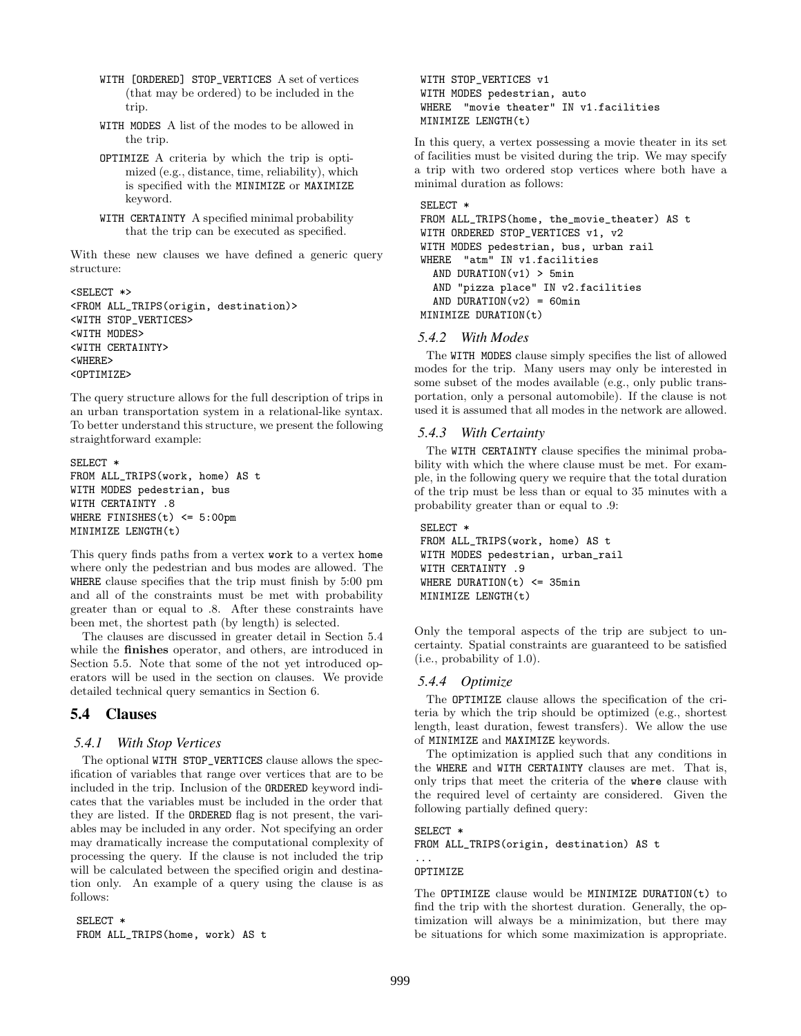- WITH [ORDERED] STOP\_VERTICES A set of vertices (that may be ordered) to be included in the trip.
- WITH MODES A list of the modes to be allowed in the trip.
- OPTIMIZE A criteria by which the trip is optimized (e.g., distance, time, reliability), which is specified with the MINIMIZE or MAXIMIZE keyword.

WITH CERTAINTY A specified minimal probability that the trip can be executed as specified.

With these new clauses we have defined a generic query structure:

```
<SELECT *>
<FROM ALL_TRIPS(origin, destination)>
<WITH STOP_VERTICES>
<WITH MODES>
<WITH CERTAINTY>
<WHERE>
<OPTIMIZE>
```
The query structure allows for the full description of trips in an urban transportation system in a relational-like syntax. To better understand this structure, we present the following straightforward example:

```
SELECT *
FROM ALL_TRIPS(work, home) AS t
WITH MODES pedestrian, bus
WITH CERTAINTY .8
WHERE FINISHES(t) <= 5:00pm
MINIMIZE LENGTH(t)
```
This query finds paths from a vertex work to a vertex home where only the pedestrian and bus modes are allowed. The WHERE clause specifies that the trip must finish by 5:00 pm and all of the constraints must be met with probability greater than or equal to .8. After these constraints have been met, the shortest path (by length) is selected.

The clauses are discussed in greater detail in Section 5.4 while the finishes operator, and others, are introduced in Section 5.5. Note that some of the not yet introduced operators will be used in the section on clauses. We provide detailed technical query semantics in Section 6.

# 5.4 Clauses

#### *5.4.1 With Stop Vertices*

The optional WITH STOP\_VERTICES clause allows the specification of variables that range over vertices that are to be included in the trip. Inclusion of the ORDERED keyword indicates that the variables must be included in the order that they are listed. If the ORDERED flag is not present, the variables may be included in any order. Not specifying an order may dramatically increase the computational complexity of processing the query. If the clause is not included the trip will be calculated between the specified origin and destination only. An example of a query using the clause is as follows:

```
STET *
FROM ALL_TRIPS(home, work) AS t
```
WITH STOP\_VERTICES v1 WITH MODES pedestrian, auto WHERE "movie theater" IN v1.facilities MINIMIZE LENGTH(t)

In this query, a vertex possessing a movie theater in its set of facilities must be visited during the trip. We may specify a trip with two ordered stop vertices where both have a minimal duration as follows:

#### SELECT \*

```
FROM ALL_TRIPS(home, the_movie_theater) AS t
WITH ORDERED STOP_VERTICES v1, v2
WITH MODES pedestrian, bus, urban rail
WHERE "atm" IN v1.facilities
  AND DURATION(v1) > 5min
  AND "pizza place" IN v2.facilities
  AND DURATION(v2) = 60min
MINIMIZE DURATION(t)
```
#### *5.4.2 With Modes*

The WITH MODES clause simply specifies the list of allowed modes for the trip. Many users may only be interested in some subset of the modes available (e.g., only public transportation, only a personal automobile). If the clause is not used it is assumed that all modes in the network are allowed.

#### *5.4.3 With Certainty*

The WITH CERTAINTY clause specifies the minimal probability with which the where clause must be met. For example, in the following query we require that the total duration of the trip must be less than or equal to 35 minutes with a probability greater than or equal to .9:

SELECT \* FROM ALL\_TRIPS(work, home) AS t WITH MODES pedestrian, urban\_rail WITH CERTAINTY .9 WHERE DURATION(t) <= 35min MINIMIZE LENGTH(t)

Only the temporal aspects of the trip are subject to uncertainty. Spatial constraints are guaranteed to be satisfied (i.e., probability of 1.0).

#### *5.4.4 Optimize*

The OPTIMIZE clause allows the specification of the criteria by which the trip should be optimized (e.g., shortest length, least duration, fewest transfers). We allow the use of MINIMIZE and MAXIMIZE keywords.

The optimization is applied such that any conditions in the WHERE and WITH CERTAINTY clauses are met. That is, only trips that meet the criteria of the where clause with the required level of certainty are considered. Given the following partially defined query:

#### SELECT \*

FROM ALL\_TRIPS(origin, destination) AS t

#### OPTIMIZE

...

The OPTIMIZE clause would be MINIMIZE DURATION(t) to find the trip with the shortest duration. Generally, the optimization will always be a minimization, but there may be situations for which some maximization is appropriate.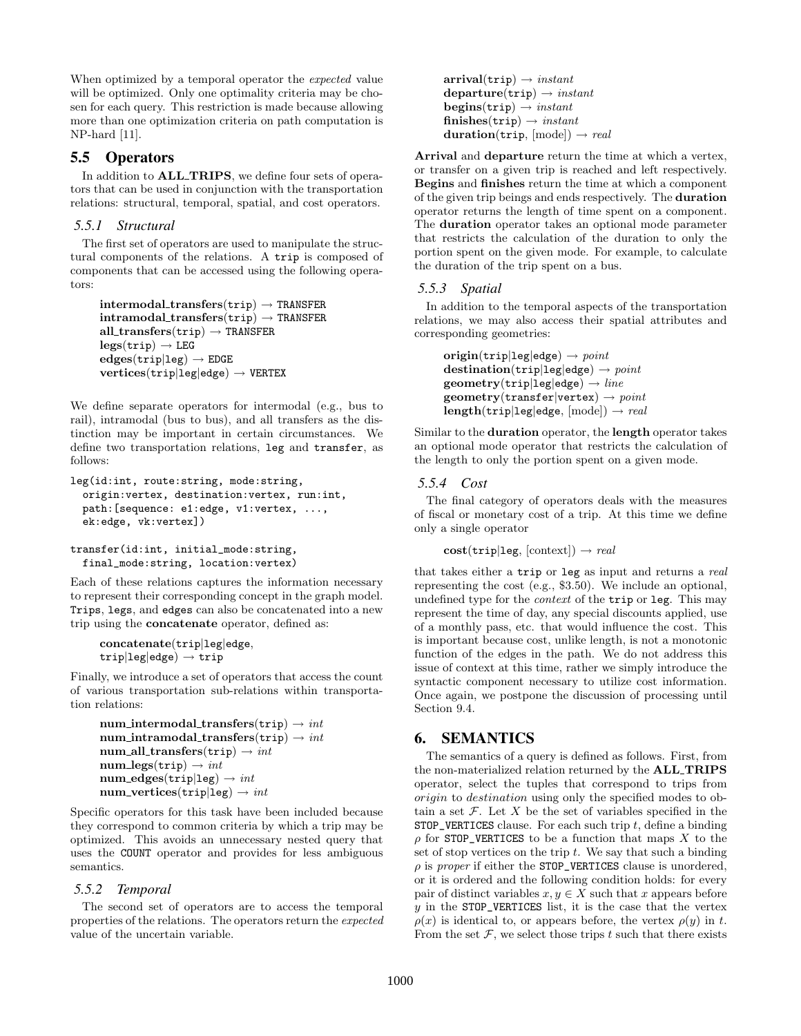When optimized by a temporal operator the expected value will be optimized. Only one optimality criteria may be chosen for each query. This restriction is made because allowing more than one optimization criteria on path computation is NP-hard [11].

# 5.5 Operators

In addition to **ALL\_TRIPS**, we define four sets of operators that can be used in conjunction with the transportation relations: structural, temporal, spatial, and cost operators.

#### *5.5.1 Structural*

The first set of operators are used to manipulate the structural components of the relations. A trip is composed of components that can be accessed using the following operators:

```
intermodal\_transfers(trip) \rightarrow TRANSFERintramodal_transform(frip) \rightarrow TRANSFERall\_transfers(true) \rightarrow TRANSFER\text{legs}(\text{trip}) \rightarrow \text{LEG}edges(trip|leg) \rightarrow EDGEvertices(trip|leg|edge) \rightarrow VERTEX
```
We define separate operators for intermodal (e.g., bus to rail), intramodal (bus to bus), and all transfers as the distinction may be important in certain circumstances. We define two transportation relations, leg and transfer, as follows:

```
leg(id:int, route:string, mode:string,
 origin:vertex, destination:vertex, run:int,
 path:[sequence: e1:edge, v1:vertex, ...,
 ek:edge, vk:vertex])
```

```
transfer(id:int, initial_mode:string,
 final_mode:string, location:vertex)
```
Each of these relations captures the information necessary to represent their corresponding concept in the graph model. Trips, legs, and edges can also be concatenated into a new trip using the concatenate operator, defined as:

```
concatenate(trip|leg|edge,
trip|leg|edge) \rightarrow trip
```
Finally, we introduce a set of operators that access the count of various transportation sub-relations within transportation relations:

```
num intermodal transfers(trip) \rightarrow intnum intramodal transfers(trip) \rightarrow intnum\_all\_transfers(trip) \rightarrow intnum\_legs(trip) \rightarrow \textit{int}num\_edges(true | leg) \rightarrow intnum_vertices(trip|leg) \rightarrow int
```
Specific operators for this task have been included because they correspond to common criteria by which a trip may be optimized. This avoids an unnecessary nested query that uses the COUNT operator and provides for less ambiguous semantics.

#### *5.5.2 Temporal*

The second set of operators are to access the temporal properties of the relations. The operators return the expected value of the uncertain variable.

 $arrival(trip) \rightarrow instant$  $\text{departure}(\text{trip}) \rightarrow instant$  $begin{aligned} \textbf{begins}(\texttt{trip}) \rightarrow instant \end{aligned}$  $\textbf{finishes}(\textbf{trip}) \rightarrow instant$ duration(trip,  $\text{[mode]}$ )  $\rightarrow$  real

Arrival and departure return the time at which a vertex, or transfer on a given trip is reached and left respectively. Begins and finishes return the time at which a component of the given trip beings and ends respectively. The duration operator returns the length of time spent on a component. The duration operator takes an optional mode parameter that restricts the calculation of the duration to only the portion spent on the given mode. For example, to calculate the duration of the trip spent on a bus.

#### *5.5.3 Spatial*

In addition to the temporal aspects of the transportation relations, we may also access their spatial attributes and corresponding geometries:

origin(trip|leg|edge)  $\rightarrow$  point  $\text{destination}(\text{trip}|\text{leg}|\text{edge}) \rightarrow \text{point}$  $geometry(trip|leg|edge) \rightarrow line$  $\mathbf{geometry}(\mathbf{transfer}|\mathbf{vertex}) \rightarrow point$  $length(\text{trip}|\text{leg}|\text{edge}, \text{[mode]}) \rightarrow real$ 

Similar to the duration operator, the length operator takes an optional mode operator that restricts the calculation of the length to only the portion spent on a given mode.

#### *5.5.4 Cost*

The final category of operators deals with the measures of fiscal or monetary cost of a trip. At this time we define only a single operator

```
cost(trip|leg, [context]) \rightarrow real
```
that takes either a trip or leg as input and returns a real representing the cost (e.g., \$3.50). We include an optional, undefined type for the context of the trip or leg. This may represent the time of day, any special discounts applied, use of a monthly pass, etc. that would influence the cost. This is important because cost, unlike length, is not a monotonic function of the edges in the path. We do not address this issue of context at this time, rather we simply introduce the syntactic component necessary to utilize cost information. Once again, we postpone the discussion of processing until Section 9.4.

#### 6. SEMANTICS

The semantics of a query is defined as follows. First, from the non-materialized relation returned by the ALL TRIPS operator, select the tuples that correspond to trips from origin to destination using only the specified modes to obtain a set  $\mathcal F$ . Let  $X$  be the set of variables specified in the  $STOP$ -VERTICES clause. For each such trip t, define a binding  $\rho$  for STOP\_VERTICES to be a function that maps X to the set of stop vertices on the trip  $t$ . We say that such a binding  $\rho$  is proper if either the STOP\_VERTICES clause is unordered, or it is ordered and the following condition holds: for every pair of distinct variables  $x, y \in X$  such that x appears before  $y$  in the  $\texttt{STOP\_VERTICES}$  list, it is the case that the vertex  $\rho(x)$  is identical to, or appears before, the vertex  $\rho(y)$  in t. From the set  $\mathcal F$ , we select those trips t such that there exists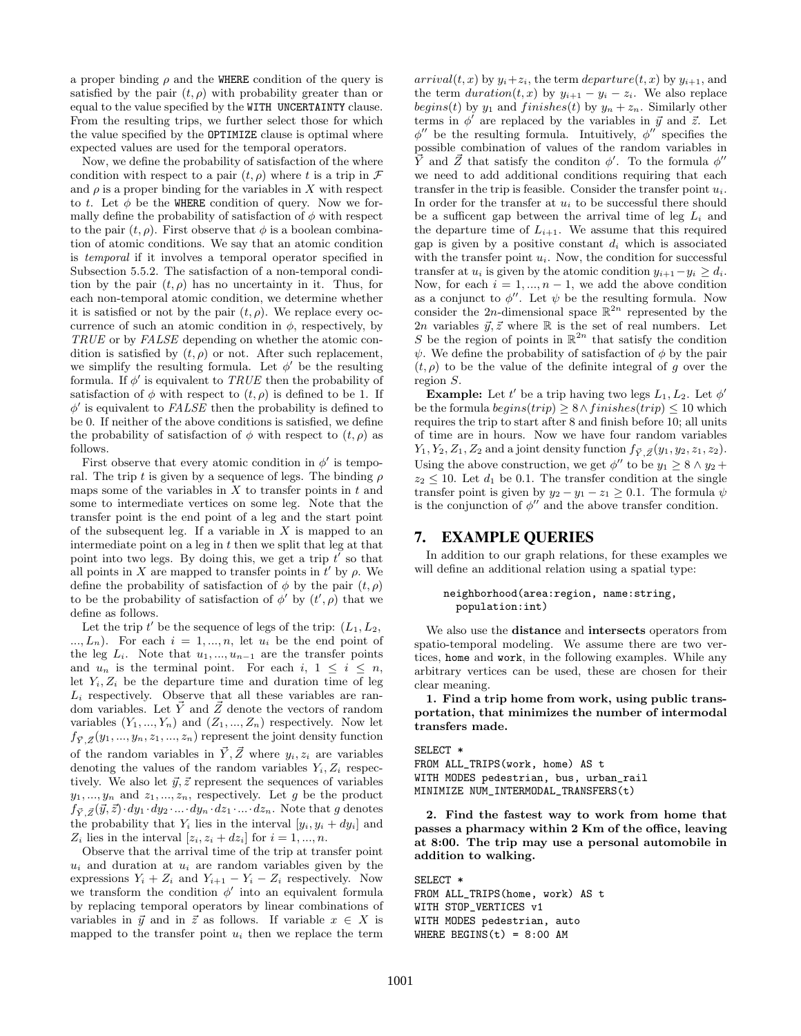a proper binding  $\rho$  and the WHERE condition of the query is satisfied by the pair  $(t, \rho)$  with probability greater than or equal to the value specified by the WITH UNCERTAINTY clause. From the resulting trips, we further select those for which the value specified by the OPTIMIZE clause is optimal where expected values are used for the temporal operators.

Now, we define the probability of satisfaction of the where condition with respect to a pair  $(t, \rho)$  where t is a trip in  $\mathcal F$ and  $\rho$  is a proper binding for the variables in X with respect to t. Let  $\phi$  be the WHERE condition of query. Now we formally define the probability of satisfaction of  $\phi$  with respect to the pair  $(t, \rho)$ . First observe that  $\phi$  is a boolean combination of atomic conditions. We say that an atomic condition is temporal if it involves a temporal operator specified in Subsection 5.5.2. The satisfaction of a non-temporal condition by the pair  $(t, \rho)$  has no uncertainty in it. Thus, for each non-temporal atomic condition, we determine whether it is satisfied or not by the pair  $(t, \rho)$ . We replace every occurrence of such an atomic condition in  $\phi$ , respectively, by TRUE or by FALSE depending on whether the atomic condition is satisfied by  $(t, \rho)$  or not. After such replacement, we simplify the resulting formula. Let  $\phi'$  be the resulting formula. If  $\phi'$  is equivalent to TRUE then the probability of satisfaction of  $\phi$  with respect to  $(t, \rho)$  is defined to be 1. If  $\phi'$  is equivalent to  $FALSE$  then the probability is defined to be 0. If neither of the above conditions is satisfied, we define the probability of satisfaction of  $\phi$  with respect to  $(t, \rho)$  as follows.

First observe that every atomic condition in  $\phi'$  is temporal. The trip t is given by a sequence of legs. The binding  $\rho$ maps some of the variables in  $X$  to transfer points in  $t$  and some to intermediate vertices on some leg. Note that the transfer point is the end point of a leg and the start point of the subsequent leg. If a variable in  $X$  is mapped to an intermediate point on a leg in  $t$  then we split that leg at that point into two legs. By doing this, we get a trip  $t'$  so that all points in X are mapped to transfer points in  $t'$  by  $\rho$ . We define the probability of satisfaction of  $\phi$  by the pair  $(t, \rho)$ to be the probability of satisfaction of  $\phi'$  by  $(t', \rho)$  that we define as follows.

Let the trip  $t'$  be the sequence of legs of the trip:  $(L_1, L_2,$  $..., L_n$ ). For each  $i = 1, ..., n$ , let  $u_i$  be the end point of the leg  $L_i$ . Note that  $u_1, ..., u_{n-1}$  are the transfer points and  $u_n$  is the terminal point. For each  $i, 1 \leq i \leq n$ , let  $Y_i, Z_i$  be the departure time and duration time of leg  $L_i$  respectively. Observe that all these variables are random variables. Let  $\vec{Y}$  and  $\vec{Z}$  denote the vectors of random variables  $(Y_1, ..., Y_n)$  and  $(Z_1, ..., Z_n)$  respectively. Now let  $f_{\vec{Y}, \vec{Z}}(y_1, ..., y_n, z_1, ..., z_n)$  represent the joint density function of the random variables in  $\vec{Y}, \vec{Z}$  where  $y_i, z_i$  are variables denoting the values of the random variables  $Y_i, Z_i$  respectively. We also let  $\vec{y}, \vec{z}$  represent the sequences of variables  $y_1, ..., y_n$  and  $z_1, ..., z_n$ , respectively. Let g be the product  $f_{\vec{Y}, \vec{Z}}(\vec{y}, \vec{z}) \cdot dy_1 \cdot dy_2 \cdot ... \cdot dy_n \cdot dz_1 \cdot ... \cdot dz_n$ . Note that g denotes the probability that  $Y_i$  lies in the interval  $[y_i, y_i + dy_i]$  and  $Z_i$  lies in the interval  $[z_i, z_i + dz_i]$  for  $i = 1, ..., n$ .

Observe that the arrival time of the trip at transfer point  $u_i$  and duration at  $u_i$  are random variables given by the expressions  $Y_i + Z_i$  and  $Y_{i+1} - Y_i - Z_i$  respectively. Now we transform the condition  $\phi'$  into an equivalent formula by replacing temporal operators by linear combinations of variables in  $\vec{y}$  and in  $\vec{z}$  as follows. If variable  $x \in X$  is mapped to the transfer point  $u_i$  then we replace the term

 $arrival(t, x)$  by  $y_i + z_i$ , the term  $departure(t, x)$  by  $y_{i+1}$ , and the term  $duration(t, x)$  by  $y_{i+1} - y_i - z_i$ . We also replace begins(t) by  $y_1$  and finishes(t) by  $y_n + z_n$ . Similarly other terms in  $\phi'$  are replaced by the variables in  $\vec{y}$  and  $\vec{z}$ . Let  $\phi''$  be the resulting formula. Intuitively,  $\phi''$  specifies the possible combination of values of the random variables in  $\widetilde{Y}$  and  $\widetilde{Z}$  that satisfy the condition  $\phi'$ . To the formula  $\phi''$ we need to add additional conditions requiring that each transfer in the trip is feasible. Consider the transfer point  $u_i$ . In order for the transfer at  $u_i$  to be successful there should be a sufficent gap between the arrival time of leg  $L_i$  and the departure time of  $L_{i+1}$ . We assume that this required gap is given by a positive constant  $d_i$  which is associated with the transfer point  $u_i$ . Now, the condition for successful transfer at  $u_i$  is given by the atomic condition  $y_{i+1}-y_i \geq d_i$ . Now, for each  $i = 1, ..., n - 1$ , we add the above condition as a conjunct to  $\phi''$ . Let  $\psi$  be the resulting formula. Now consider the 2n-dimensional space  $\mathbb{R}^{2n}$  represented by the 2n variables  $\vec{y}, \vec{z}$  where  $\mathbb R$  is the set of real numbers. Let S be the region of points in  $\mathbb{R}^{2n}$  that satisfy the condition  $\psi$ . We define the probability of satisfaction of  $\phi$  by the pair  $(t, \rho)$  to be the value of the definite integral of q over the region S.

**Example:** Let t' be a trip having two legs  $L_1, L_2$ . Let  $\phi'$ be the formula  $begins(trip) \geq 8 \wedge finishes(trip) \leq 10$  which requires the trip to start after 8 and finish before 10; all units of time are in hours. Now we have four random variables  $Y_1, Y_2, Z_1, Z_2$  and a joint density function  $f_{\vec{Y}, \vec{Z}}(y_1, y_2, z_1, z_2)$ . Using the above construction, we get  $\phi''$  to be  $y_1 \geq 8 \wedge y_2 +$  $z_2 \leq 10$ . Let  $d_1$  be 0.1. The transfer condition at the single transfer point is given by  $y_2 - y_1 - z_1 \geq 0.1$ . The formula  $\psi$ is the conjunction of  $\phi''$  and the above transfer condition.

## 7. EXAMPLE QUERIES

In addition to our graph relations, for these examples we will define an additional relation using a spatial type:

```
neighborhood(area:region, name:string,
  population:int)
```
We also use the distance and intersects operators from spatio-temporal modeling. We assume there are two vertices, home and work, in the following examples. While any arbitrary vertices can be used, these are chosen for their clear meaning.

1. Find a trip home from work, using public transportation, that minimizes the number of intermodal transfers made.

SELECT \* FROM ALL\_TRIPS(work, home) AS t WITH MODES pedestrian, bus, urban\_rail MINIMIZE NUM\_INTERMODAL\_TRANSFERS(t)

2. Find the fastest way to work from home that passes a pharmacy within 2 Km of the office, leaving at 8:00. The trip may use a personal automobile in addition to walking.

SELECT \* FROM ALL\_TRIPS(home, work) AS t WITH STOP\_VERTICES v1 WITH MODES pedestrian, auto WHERE BEGINS $(t) = 8:00$  AM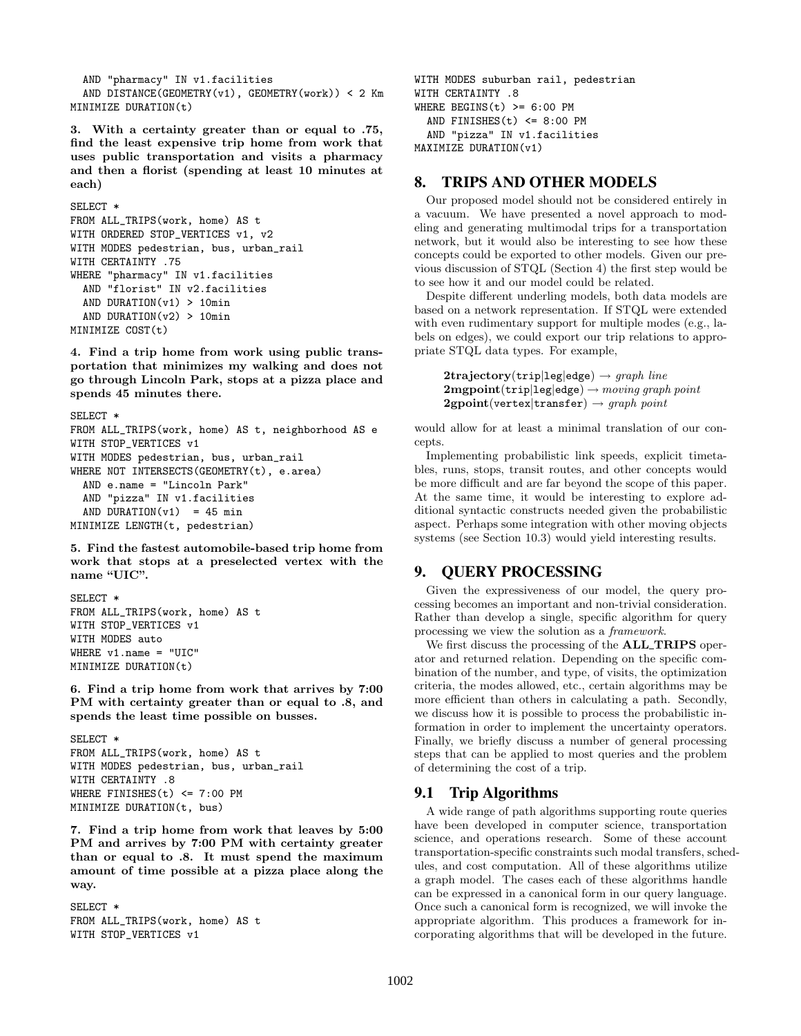```
AND "pharmacy" IN v1.facilities
 AND DISTANCE(GEOMETRY(v1), GEOMETRY(work)) < 2 Km
MINIMIZE DURATION(t)
```
3. With a certainty greater than or equal to .75, find the least expensive trip home from work that uses public transportation and visits a pharmacy and then a florist (spending at least 10 minutes at each)

```
SELECT *
FROM ALL_TRIPS(work, home) AS t
WITH ORDERED STOP_VERTICES v1, v2
WITH MODES pedestrian, bus, urban_rail
WITH CERTAINTY .75
WHERE "pharmacy" IN v1.facilities
 AND "florist" IN v2.facilities
 AND DURATION(v1) > 10min
 AND DURATION(v2) > 10min
MINIMIZE COST(t)
```
4. Find a trip home from work using public transportation that minimizes my walking and does not go through Lincoln Park, stops at a pizza place and spends 45 minutes there.

```
SELECT *
FROM ALL_TRIPS(work, home) AS t, neighborhood AS e
WITH STOP_VERTICES v1
WITH MODES pedestrian, bus, urban_rail
WHERE NOT INTERSECTS(GEOMETRY(t), e.area)
 AND e.name = "Lincoln Park"
 AND "pizza" IN v1.facilities
 AND DURATION(v1) = 45 min
MINIMIZE LENGTH(t, pedestrian)
```
5. Find the fastest automobile-based trip home from work that stops at a preselected vertex with the name "UIC".

```
SELECT *
FROM ALL_TRIPS(work, home) AS t
WITH STOP_VERTICES v1
WITH MODES auto
WHERE v1.name = "UIC"
MINIMIZE DURATION(t)
```
6. Find a trip home from work that arrives by 7:00 PM with certainty greater than or equal to .8, and spends the least time possible on busses.

```
SELECT *FROM ALL_TRIPS(work, home) AS t
WITH MODES pedestrian, bus, urban_rail
WITH CERTAINTY .8
WHERE FINISHES(t) <= 7:00 PM
MINIMIZE DURATION(t, bus)
```
7. Find a trip home from work that leaves by 5:00 PM and arrives by 7:00 PM with certainty greater than or equal to .8. It must spend the maximum amount of time possible at a pizza place along the way.

SELECT \* FROM ALL\_TRIPS(work, home) AS t WITH STOP\_VERTICES v1

```
WITH MODES suburban rail, pedestrian
WITH CERTAINTY .8
WHERE BEGINS(t) >= 6:00 PM
  AND FINISHES(t) <= 8:00 PM
  AND "pizza" IN v1.facilities
MAXIMIZE DURATION(v1)
```
# 8. TRIPS AND OTHER MODELS

Our proposed model should not be considered entirely in a vacuum. We have presented a novel approach to modeling and generating multimodal trips for a transportation network, but it would also be interesting to see how these concepts could be exported to other models. Given our previous discussion of STQL (Section 4) the first step would be to see how it and our model could be related.

Despite different underling models, both data models are based on a network representation. If STQL were extended with even rudimentary support for multiple modes (e.g., labels on edges), we could export our trip relations to appropriate STQL data types. For example,

```
2\text{trajectory}(\text{trip}|\text{leg}|\text{edge}) \rightarrow graph line
2mgpoint(trip|leg|edge) \rightarrow moving graph point
2\text{gpoint}(vertex|transfer) \rightarrow graph \; point
```
would allow for at least a minimal translation of our concepts.

Implementing probabilistic link speeds, explicit timetables, runs, stops, transit routes, and other concepts would be more difficult and are far beyond the scope of this paper. At the same time, it would be interesting to explore additional syntactic constructs needed given the probabilistic aspect. Perhaps some integration with other moving objects systems (see Section 10.3) would yield interesting results.

## 9. QUERY PROCESSING

Given the expressiveness of our model, the query processing becomes an important and non-trivial consideration. Rather than develop a single, specific algorithm for query processing we view the solution as a framework.

We first discuss the processing of the **ALL\_TRIPS** operator and returned relation. Depending on the specific combination of the number, and type, of visits, the optimization criteria, the modes allowed, etc., certain algorithms may be more efficient than others in calculating a path. Secondly, we discuss how it is possible to process the probabilistic information in order to implement the uncertainty operators. Finally, we briefly discuss a number of general processing steps that can be applied to most queries and the problem of determining the cost of a trip.

#### 9.1 Trip Algorithms

A wide range of path algorithms supporting route queries have been developed in computer science, transportation science, and operations research. Some of these account transportation-specific constraints such modal transfers, schedules, and cost computation. All of these algorithms utilize a graph model. The cases each of these algorithms handle can be expressed in a canonical form in our query language. Once such a canonical form is recognized, we will invoke the appropriate algorithm. This produces a framework for incorporating algorithms that will be developed in the future.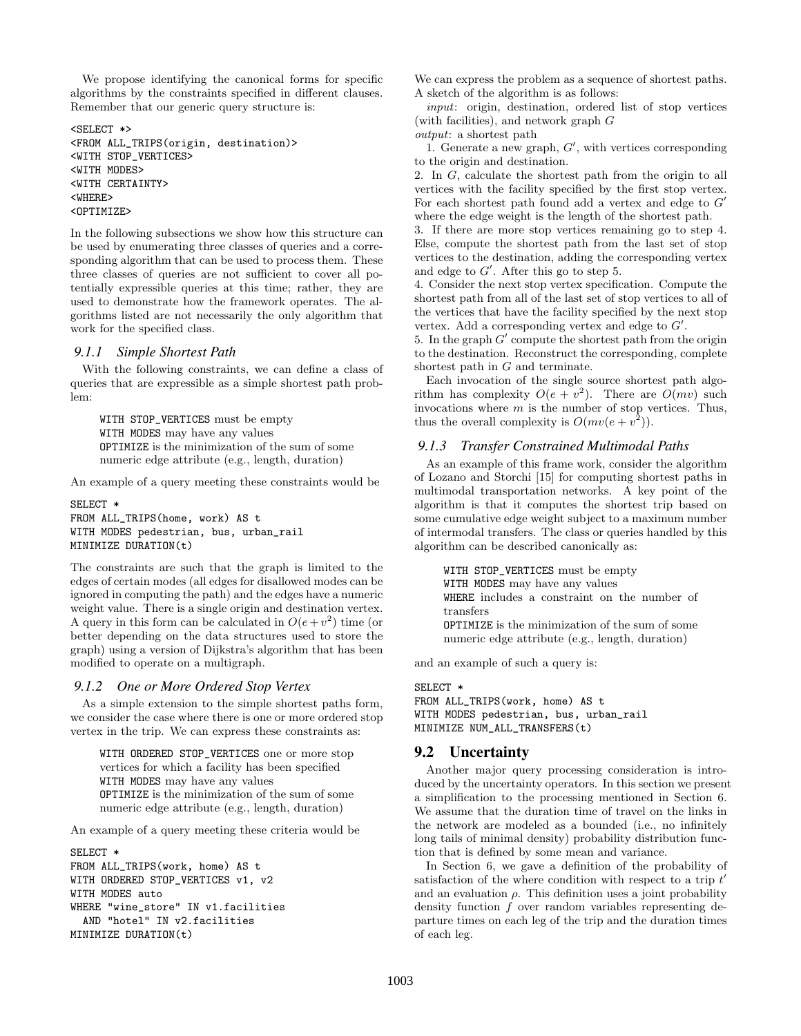We propose identifying the canonical forms for specific algorithms by the constraints specified in different clauses. Remember that our generic query structure is:

```
<SELECT *>
<FROM ALL_TRIPS(origin, destination)>
<WITH STOP_VERTICES>
<WITH MODES>
<WITH CERTAINTY>
<WHERE>
<OPTIMIZE>
```
In the following subsections we show how this structure can be used by enumerating three classes of queries and a corresponding algorithm that can be used to process them. These three classes of queries are not sufficient to cover all potentially expressible queries at this time; rather, they are used to demonstrate how the framework operates. The algorithms listed are not necessarily the only algorithm that work for the specified class.

#### *9.1.1 Simple Shortest Path*

With the following constraints, we can define a class of queries that are expressible as a simple shortest path problem:

WITH STOP\_VERTICES must be empty WITH MODES may have any values OPTIMIZE is the minimization of the sum of some numeric edge attribute (e.g., length, duration)

An example of a query meeting these constraints would be

```
SELECT *
FROM ALL_TRIPS(home, work) AS t
WITH MODES pedestrian, bus, urban_rail
MINIMIZE DURATION(t)
```
The constraints are such that the graph is limited to the edges of certain modes (all edges for disallowed modes can be ignored in computing the path) and the edges have a numeric weight value. There is a single origin and destination vertex. A query in this form can be calculated in  $O(e + v^2)$  time (or better depending on the data structures used to store the graph) using a version of Dijkstra's algorithm that has been modified to operate on a multigraph.

#### *9.1.2 One or More Ordered Stop Vertex*

As a simple extension to the simple shortest paths form, we consider the case where there is one or more ordered stop vertex in the trip. We can express these constraints as:

WITH ORDERED STOP\_VERTICES one or more stop vertices for which a facility has been specified WITH MODES may have any values OPTIMIZE is the minimization of the sum of some numeric edge attribute (e.g., length, duration)

An example of a query meeting these criteria would be

```
SELECT *
FROM ALL_TRIPS(work, home) AS t
WITH ORDERED STOP_VERTICES v1, v2
WITH MODES auto
WHERE "wine_store" IN v1.facilities
 AND "hotel" IN v2.facilities
MINIMIZE DURATION(t)
```
We can express the problem as a sequence of shortest paths. A sketch of the algorithm is as follows:

input: origin, destination, ordered list of stop vertices (with facilities), and network graph G

output: a shortest path

1. Generate a new graph,  $G'$ , with vertices corresponding to the origin and destination.

2. In G, calculate the shortest path from the origin to all vertices with the facility specified by the first stop vertex. For each shortest path found add a vertex and edge to  $G'$ where the edge weight is the length of the shortest path.

3. If there are more stop vertices remaining go to step 4. Else, compute the shortest path from the last set of stop vertices to the destination, adding the corresponding vertex and edge to  $G'$ . After this go to step 5.

4. Consider the next stop vertex specification. Compute the shortest path from all of the last set of stop vertices to all of the vertices that have the facility specified by the next stop vertex. Add a corresponding vertex and edge to  $G'$ .

5. In the graph  $G'$  compute the shortest path from the origin to the destination. Reconstruct the corresponding, complete shortest path in G and terminate.

Each invocation of the single source shortest path algorithm has complexity  $O(e + v^2)$ . There are  $O(mv)$  such invocations where  $m$  is the number of stop vertices. Thus, thus the overall complexity is  $O(mv(e + v^2))$ .

## *9.1.3 Transfer Constrained Multimodal Paths*

As an example of this frame work, consider the algorithm of Lozano and Storchi [15] for computing shortest paths in multimodal transportation networks. A key point of the algorithm is that it computes the shortest trip based on some cumulative edge weight subject to a maximum number of intermodal transfers. The class or queries handled by this algorithm can be described canonically as:

WITH STOP\_VERTICES must be empty WITH MODES may have any values WHERE includes a constraint on the number of transfers OPTIMIZE is the minimization of the sum of some numeric edge attribute (e.g., length, duration)

and an example of such a query is:

#### SELECT \*

FROM ALL\_TRIPS(work, home) AS t WITH MODES pedestrian, bus, urban\_rail MINIMIZE NUM\_ALL\_TRANSFERS(t)

# 9.2 Uncertainty

Another major query processing consideration is introduced by the uncertainty operators. In this section we present a simplification to the processing mentioned in Section 6. We assume that the duration time of travel on the links in the network are modeled as a bounded (i.e., no infinitely long tails of minimal density) probability distribution function that is defined by some mean and variance.

In Section 6, we gave a definition of the probability of satisfaction of the where condition with respect to a trip  $t'$ and an evaluation  $\rho$ . This definition uses a joint probability density function f over random variables representing departure times on each leg of the trip and the duration times of each leg.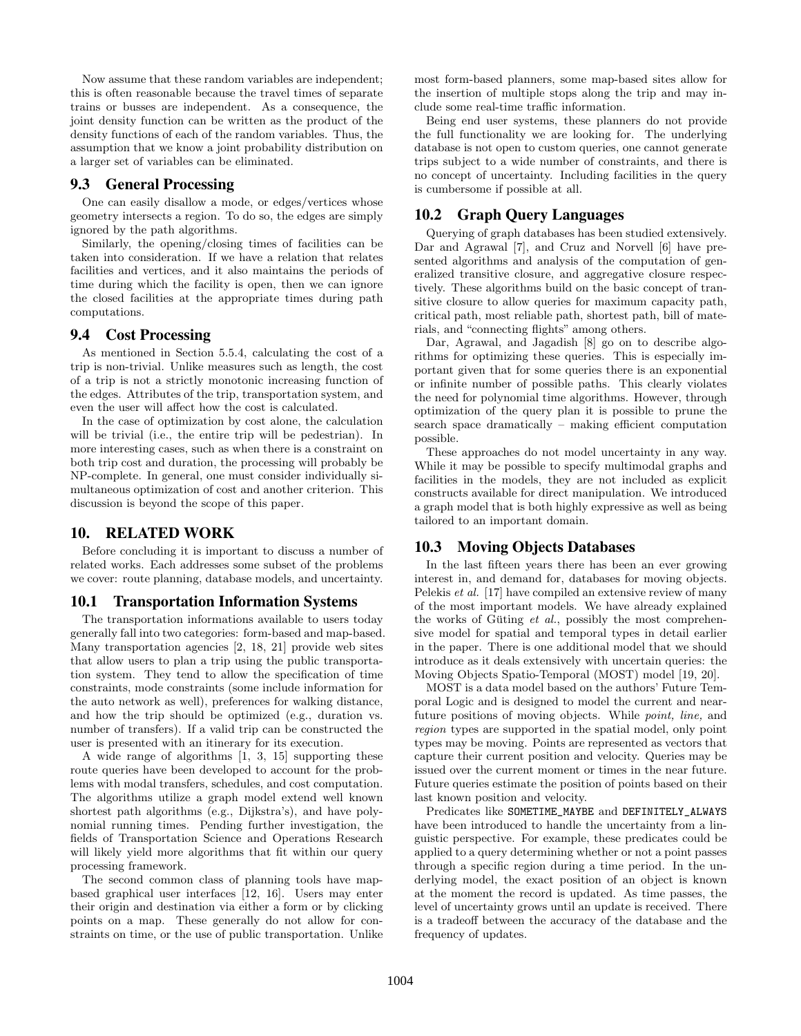Now assume that these random variables are independent; this is often reasonable because the travel times of separate trains or busses are independent. As a consequence, the joint density function can be written as the product of the density functions of each of the random variables. Thus, the assumption that we know a joint probability distribution on a larger set of variables can be eliminated.

#### 9.3 General Processing

One can easily disallow a mode, or edges/vertices whose geometry intersects a region. To do so, the edges are simply ignored by the path algorithms.

Similarly, the opening/closing times of facilities can be taken into consideration. If we have a relation that relates facilities and vertices, and it also maintains the periods of time during which the facility is open, then we can ignore the closed facilities at the appropriate times during path computations.

## 9.4 Cost Processing

As mentioned in Section 5.5.4, calculating the cost of a trip is non-trivial. Unlike measures such as length, the cost of a trip is not a strictly monotonic increasing function of the edges. Attributes of the trip, transportation system, and even the user will affect how the cost is calculated.

In the case of optimization by cost alone, the calculation will be trivial (i.e., the entire trip will be pedestrian). In more interesting cases, such as when there is a constraint on both trip cost and duration, the processing will probably be NP-complete. In general, one must consider individually simultaneous optimization of cost and another criterion. This discussion is beyond the scope of this paper.

# 10. RELATED WORK

Before concluding it is important to discuss a number of related works. Each addresses some subset of the problems we cover: route planning, database models, and uncertainty.

#### 10.1 Transportation Information Systems

The transportation informations available to users today generally fall into two categories: form-based and map-based. Many transportation agencies [2, 18, 21] provide web sites that allow users to plan a trip using the public transportation system. They tend to allow the specification of time constraints, mode constraints (some include information for the auto network as well), preferences for walking distance, and how the trip should be optimized (e.g., duration vs. number of transfers). If a valid trip can be constructed the user is presented with an itinerary for its execution.

A wide range of algorithms [1, 3, 15] supporting these route queries have been developed to account for the problems with modal transfers, schedules, and cost computation. The algorithms utilize a graph model extend well known shortest path algorithms (e.g., Dijkstra's), and have polynomial running times. Pending further investigation, the fields of Transportation Science and Operations Research will likely yield more algorithms that fit within our query processing framework.

The second common class of planning tools have mapbased graphical user interfaces [12, 16]. Users may enter their origin and destination via either a form or by clicking points on a map. These generally do not allow for constraints on time, or the use of public transportation. Unlike most form-based planners, some map-based sites allow for the insertion of multiple stops along the trip and may include some real-time traffic information.

Being end user systems, these planners do not provide the full functionality we are looking for. The underlying database is not open to custom queries, one cannot generate trips subject to a wide number of constraints, and there is no concept of uncertainty. Including facilities in the query is cumbersome if possible at all.

# 10.2 Graph Query Languages

Querying of graph databases has been studied extensively. Dar and Agrawal [7], and Cruz and Norvell [6] have presented algorithms and analysis of the computation of generalized transitive closure, and aggregative closure respectively. These algorithms build on the basic concept of transitive closure to allow queries for maximum capacity path, critical path, most reliable path, shortest path, bill of materials, and "connecting flights" among others.

Dar, Agrawal, and Jagadish [8] go on to describe algorithms for optimizing these queries. This is especially important given that for some queries there is an exponential or infinite number of possible paths. This clearly violates the need for polynomial time algorithms. However, through optimization of the query plan it is possible to prune the search space dramatically – making efficient computation possible.

These approaches do not model uncertainty in any way. While it may be possible to specify multimodal graphs and facilities in the models, they are not included as explicit constructs available for direct manipulation. We introduced a graph model that is both highly expressive as well as being tailored to an important domain.

#### 10.3 Moving Objects Databases

In the last fifteen years there has been an ever growing interest in, and demand for, databases for moving objects. Pelekis et al. [17] have compiled an extensive review of many of the most important models. We have already explained the works of Güting  $et$   $al$ , possibly the most comprehensive model for spatial and temporal types in detail earlier in the paper. There is one additional model that we should introduce as it deals extensively with uncertain queries: the Moving Objects Spatio-Temporal (MOST) model [19, 20].

MOST is a data model based on the authors' Future Temporal Logic and is designed to model the current and nearfuture positions of moving objects. While point, line, and region types are supported in the spatial model, only point types may be moving. Points are represented as vectors that capture their current position and velocity. Queries may be issued over the current moment or times in the near future. Future queries estimate the position of points based on their last known position and velocity.

Predicates like SOMETIME\_MAYBE and DEFINITELY\_ALWAYS have been introduced to handle the uncertainty from a linguistic perspective. For example, these predicates could be applied to a query determining whether or not a point passes through a specific region during a time period. In the underlying model, the exact position of an object is known at the moment the record is updated. As time passes, the level of uncertainty grows until an update is received. There is a tradeoff between the accuracy of the database and the frequency of updates.